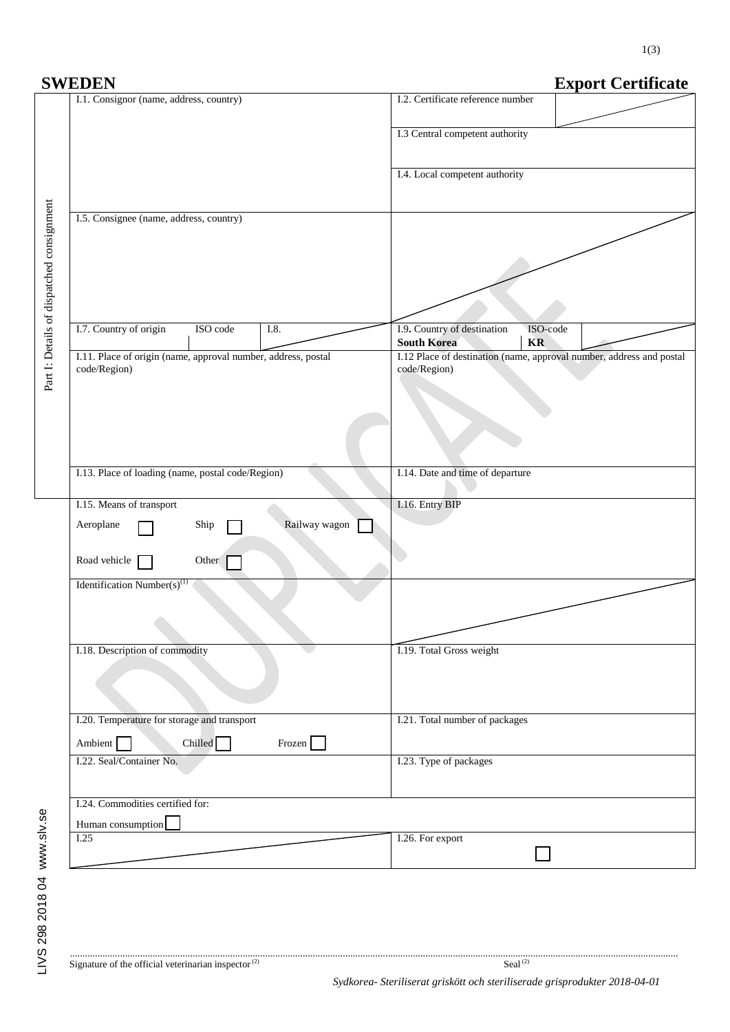| <b>SWEDEN</b>                                                                 | <b>Export Certificate</b>                                                            |
|-------------------------------------------------------------------------------|--------------------------------------------------------------------------------------|
| I.1. Consignor (name, address, country)                                       | I.2. Certificate reference number                                                    |
|                                                                               | I.3 Central competent authority                                                      |
|                                                                               | I.4. Local competent authority                                                       |
| I.5. Consignee (name, address, country)                                       |                                                                                      |
| Part I: Details of dispatched consignment                                     |                                                                                      |
| I.7. Country of origin<br>ISO code<br>I.8.                                    | I.9. Country of destination<br>ISO-code<br><b>KR</b><br><b>South Korea</b>           |
| I.11. Place of origin (name, approval number, address, postal<br>code/Region) | I.12 Place of destination (name, approval number, address and postal<br>code/Region) |
| I.13. Place of loading (name, postal code/Region)                             | I.14. Date and time of departure                                                     |
| I.15. Means of transport                                                      | I.16. Entry BIP                                                                      |
| Railway wagon<br>Aeroplane<br>Ship                                            |                                                                                      |
| Road vehicle<br>Other                                                         |                                                                                      |
| Identification Number(s) <sup>(1)</sup>                                       |                                                                                      |
| I.18. Description of commodity                                                | I.19. Total Gross weight                                                             |
|                                                                               |                                                                                      |
| I.20. Temperature for storage and transport                                   | I.21. Total number of packages                                                       |
| Chilled <sup>1</sup><br>Ambient  <br>Frozen                                   |                                                                                      |
| I.22. Seal/Container No.                                                      | I.23. Type of packages                                                               |
| I.24. Commodities certified for:                                              |                                                                                      |
| Human consumption                                                             |                                                                                      |
| I.25                                                                          | I.26. For export                                                                     |
|                                                                               |                                                                                      |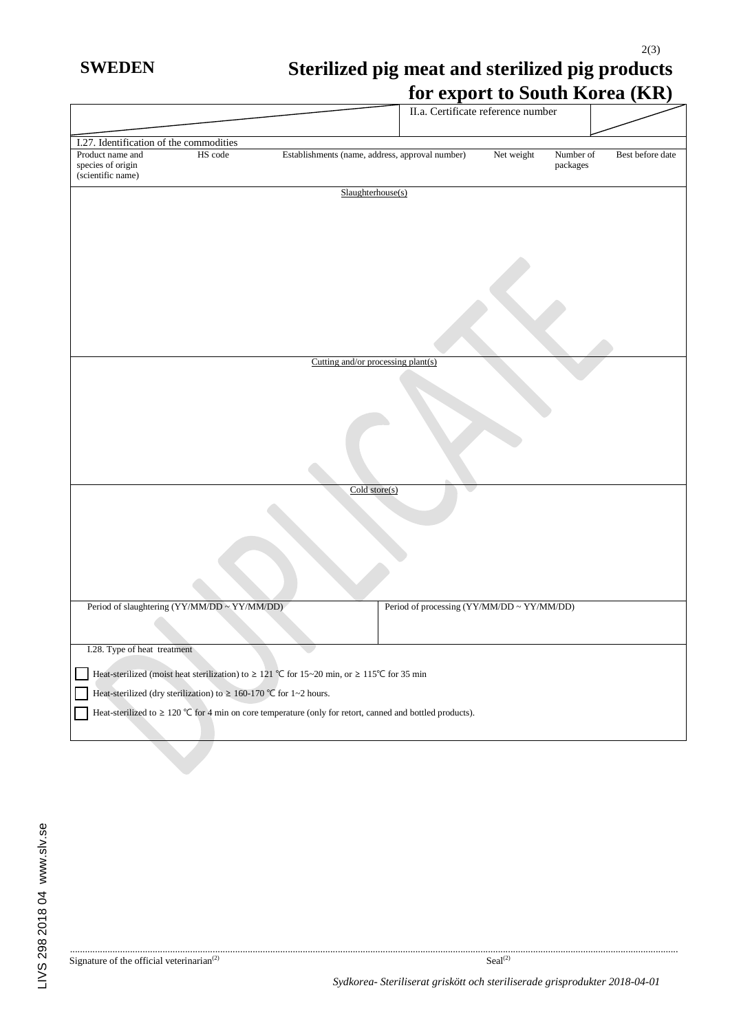## 2(3) **SWEDEN Sterilized pig meat and sterilized pig products for export to South Korea (KR)**

|                                                            |                                                                          |                                                                                                                | I'll vapole to bouth indica (1111)         |            |                       |                  |
|------------------------------------------------------------|--------------------------------------------------------------------------|----------------------------------------------------------------------------------------------------------------|--------------------------------------------|------------|-----------------------|------------------|
|                                                            |                                                                          |                                                                                                                | II.a. Certificate reference number         |            |                       |                  |
|                                                            |                                                                          |                                                                                                                |                                            |            |                       |                  |
| I.27. Identification of the commodities                    |                                                                          |                                                                                                                |                                            |            |                       |                  |
| Product name and<br>species of origin<br>(scientific name) | HS code                                                                  | Establishments (name, address, approval number)                                                                |                                            | Net weight | Number of<br>packages | Best before date |
|                                                            |                                                                          | Slaughterhouse(s)                                                                                              |                                            |            |                       |                  |
|                                                            |                                                                          | Cutting and/or processing plant(s)                                                                             |                                            |            |                       |                  |
|                                                            |                                                                          |                                                                                                                |                                            |            |                       |                  |
|                                                            |                                                                          | $\overline{\text{ Cold store}(s)}$                                                                             |                                            |            |                       |                  |
|                                                            |                                                                          |                                                                                                                |                                            |            |                       |                  |
|                                                            | Period of slaughtering (YY/MM/DD ~ YY/MM/DD)                             |                                                                                                                | Period of processing (YY/MM/DD ~ YY/MM/DD) |            |                       |                  |
|                                                            |                                                                          |                                                                                                                |                                            |            |                       |                  |
| I.28. Type of heat treatment                               |                                                                          |                                                                                                                |                                            |            |                       |                  |
|                                                            |                                                                          | Heat-sterilized (moist heat sterilization) to $\geq 121$ °C for 15~20 min, or $\geq 115$ °C for 35 min         |                                            |            |                       |                  |
|                                                            | Heat-sterilized (dry sterilization) to $\geq 160$ -170 °C for 1~2 hours. |                                                                                                                |                                            |            |                       |                  |
|                                                            |                                                                          | Heat-sterilized to $\geq 120$ °C for 4 min on core temperature (only for retort, canned and bottled products). |                                            |            |                       |                  |
|                                                            |                                                                          |                                                                                                                |                                            |            |                       |                  |

................................................................................................................................................................................................................................................... Signature of the official veterinarian<sup>(2)</sup> Seal<sup>(2)</sup> Seal<sup>(2)</sup>

*Sydkorea- Steriliserat griskött och steriliserade grisprodukter 2018-04-01*